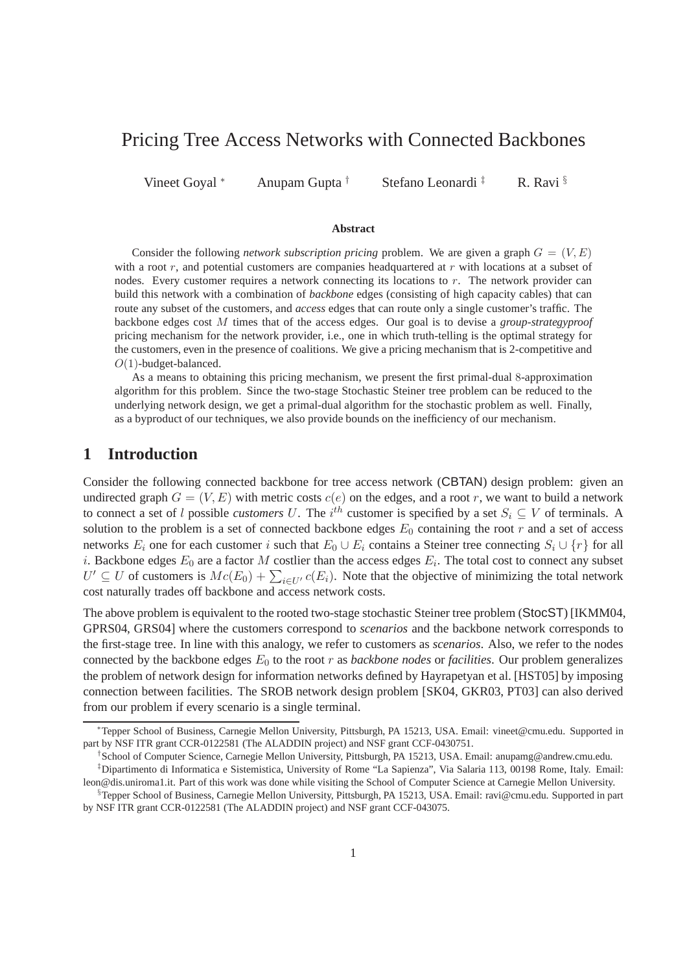# Pricing Tree Access Networks with Connected Backbones

Vineet Goyal \* Anupam Gupta † Stefano Leonardi ‡ R. Ravi §

#### **Abstract**

Consider the following *network subscription pricing* problem. We are given a graph  $G = (V, E)$ with a root  $r$ , and potential customers are companies headquartered at  $r$  with locations at a subset of nodes. Every customer requires a network connecting its locations to r. The network provider can build this network with a combination of *backbone* edges (consisting of high capacity cables) that can route any subset of the customers, and *access* edges that can route only a single customer's traffic. The backbone edges cost M times that of the access edges. Our goal is to devise a *group-strategyproof* pricing mechanism for the network provider, i.e., one in which truth-telling is the optimal strategy for the customers, even in the presence of coalitions. We give a pricing mechanism that is 2-competitive and  $O(1)$ -budget-balanced.

As a means to obtaining this pricing mechanism, we present the first primal-dual 8-approximation algorithm for this problem. Since the two-stage Stochastic Steiner tree problem can be reduced to the underlying network design, we get a primal-dual algorithm for the stochastic problem as well. Finally, as a byproduct of our techniques, we also provide bounds on the inefficiency of our mechanism.

### **1 Introduction**

Consider the following connected backbone for tree access network (CBTAN) design problem: given an undirected graph  $G = (V, E)$  with metric costs  $c(e)$  on the edges, and a root r, we want to build a network to connect a set of l possible *customers* U. The  $i^{th}$  customer is specified by a set  $S_i \subseteq V$  of terminals. A solution to the problem is a set of connected backbone edges  $E_0$  containing the root r and a set of access networks  $E_i$  one for each customer i such that  $E_0 \cup E_i$  contains a Steiner tree connecting  $S_i \cup \{r\}$  for all i. Backbone edges  $E_0$  are a factor M costlier than the access edges  $E_i$ . The total cost to connect any subset  $U' \subseteq U$  of customers is  $Mc(E_0) + \sum_{i \in U'} c(E_i)$ . Note that the objective of minimizing the total network cost naturally trades off backbone and access network costs.

The above problem is equivalent to the rooted two-stage stochastic Steiner tree problem (StocST) [IKMM04, GPRS04, GRS04] where the customers correspond to *scenarios* and the backbone network corresponds to the first-stage tree. In line with this analogy, we refer to customers as *scenarios*. Also, we refer to the nodes connected by the backbone edges  $E_0$  to the root r as *backbone nodes* or *facilities*. Our problem generalizes the problem of network design for information networks defined by Hayrapetyan et al. [HST05] by imposing connection between facilities. The SROB network design problem [SK04, GKR03, PT03] can also derived from our problem if every scenario is a single terminal.

<sup>∗</sup>Tepper School of Business, Carnegie Mellon University, Pittsburgh, PA 15213, USA. Email: vineet@cmu.edu. Supported in part by NSF ITR grant CCR-0122581 (The ALADDIN project) and NSF grant CCF-0430751.

<sup>†</sup> School of Computer Science, Carnegie Mellon University, Pittsburgh, PA 15213, USA. Email: anupamg@andrew.cmu.edu. ‡Dipartimento di Informatica e Sistemistica, University of Rome "La Sapienza", Via Salaria 113, 00198 Rome, Italy. Email: leon@dis.uniroma1.it. Part of this work was done while visiting the School of Computer Science at Carnegie Mellon University.

 $\S$ Tepper School of Business, Carnegie Mellon University, Pittsburgh, PA 15213, USA. Email: ravi@cmu.edu. Supported in part by NSF ITR grant CCR-0122581 (The ALADDIN project) and NSF grant CCF-043075.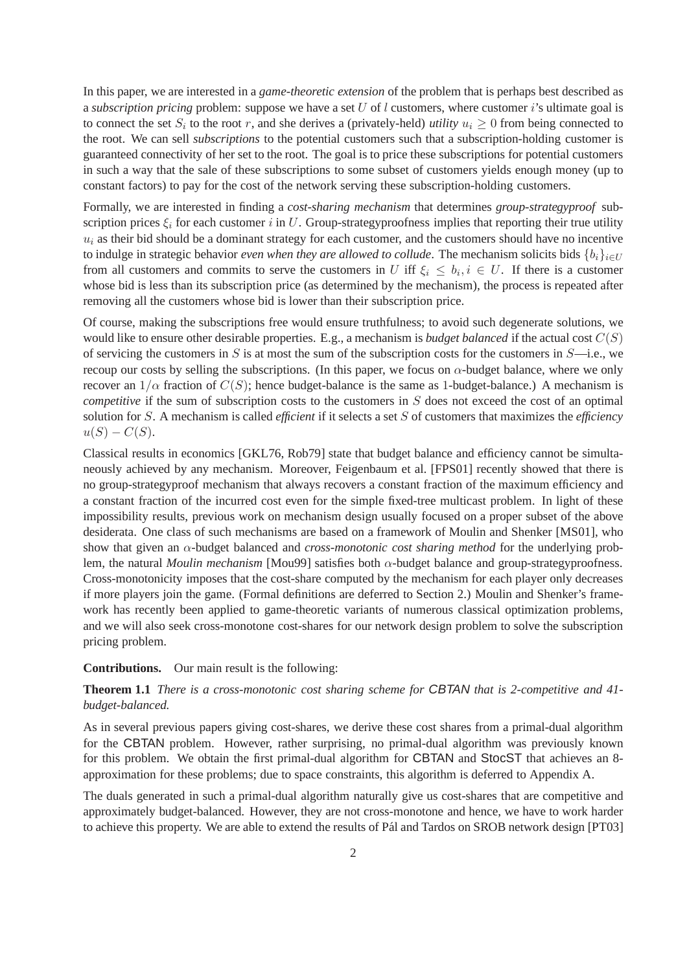In this paper, we are interested in a *game-theoretic extension* of the problem that is perhaps best described as a *subscription pricing* problem: suppose we have a set U of l customers, where customer i's ultimate goal is to connect the set  $S_i$  to the root r, and she derives a (privately-held) *utility*  $u_i \geq 0$  from being connected to the root. We can sell *subscriptions* to the potential customers such that a subscription-holding customer is guaranteed connectivity of her set to the root. The goal is to price these subscriptions for potential customers in such a way that the sale of these subscriptions to some subset of customers yields enough money (up to constant factors) to pay for the cost of the network serving these subscription-holding customers.

Formally, we are interested in finding a *cost-sharing mechanism* that determines *group-strategyproof* subscription prices  $\xi_i$  for each customer i in U. Group-strategyproofness implies that reporting their true utility  $u_i$  as their bid should be a dominant strategy for each customer, and the customers should have no incentive to indulge in strategic behavior *even when they are allowed to collude*. The mechanism solicits bids  $\{b_i\}_{i\in\mathbb{U}}$ from all customers and commits to serve the customers in U iff  $\xi_i \leq b_i, i \in U$ . If there is a customer whose bid is less than its subscription price (as determined by the mechanism), the process is repeated after removing all the customers whose bid is lower than their subscription price.

Of course, making the subscriptions free would ensure truthfulness; to avoid such degenerate solutions, we would like to ensure other desirable properties. E.g., a mechanism is *budget balanced* if the actual cost  $C(S)$ of servicing the customers in S is at most the sum of the subscription costs for the customers in  $S$ —i.e., we recoup our costs by selling the subscriptions. (In this paper, we focus on  $\alpha$ -budget balance, where we only recover an  $1/\alpha$  fraction of  $C(S)$ ; hence budget-balance is the same as 1-budget-balance.) A mechanism is *competitive* if the sum of subscription costs to the customers in S does not exceed the cost of an optimal solution for S. A mechanism is called *efficient* if it selects a set S of customers that maximizes the *efficiency*  $u(S) - C(S)$ .

Classical results in economics [GKL76, Rob79] state that budget balance and efficiency cannot be simultaneously achieved by any mechanism. Moreover, Feigenbaum et al. [FPS01] recently showed that there is no group-strategyproof mechanism that always recovers a constant fraction of the maximum efficiency and a constant fraction of the incurred cost even for the simple fixed-tree multicast problem. In light of these impossibility results, previous work on mechanism design usually focused on a proper subset of the above desiderata. One class of such mechanisms are based on a framework of Moulin and Shenker [MS01], who show that given an α-budget balanced and *cross-monotonic cost sharing method* for the underlying problem, the natural *Moulin mechanism* [Mou99] satisfies both α-budget balance and group-strategyproofness. Cross-monotonicity imposes that the cost-share computed by the mechanism for each player only decreases if more players join the game. (Formal definitions are deferred to Section 2.) Moulin and Shenker's framework has recently been applied to game-theoretic variants of numerous classical optimization problems, and we will also seek cross-monotone cost-shares for our network design problem to solve the subscription pricing problem.

**Contributions.** Our main result is the following:

### **Theorem 1.1** *There is a cross-monotonic cost sharing scheme for* CBTAN *that is 2-competitive and 41 budget-balanced.*

As in several previous papers giving cost-shares, we derive these cost shares from a primal-dual algorithm for the CBTAN problem. However, rather surprising, no primal-dual algorithm was previously known for this problem. We obtain the first primal-dual algorithm for CBTAN and StocST that achieves an 8 approximation for these problems; due to space constraints, this algorithm is deferred to Appendix A.

The duals generated in such a primal-dual algorithm naturally give us cost-shares that are competitive and approximately budget-balanced. However, they are not cross-monotone and hence, we have to work harder to achieve this property. We are able to extend the results of Pál and Tardos on SROB network design [PT03]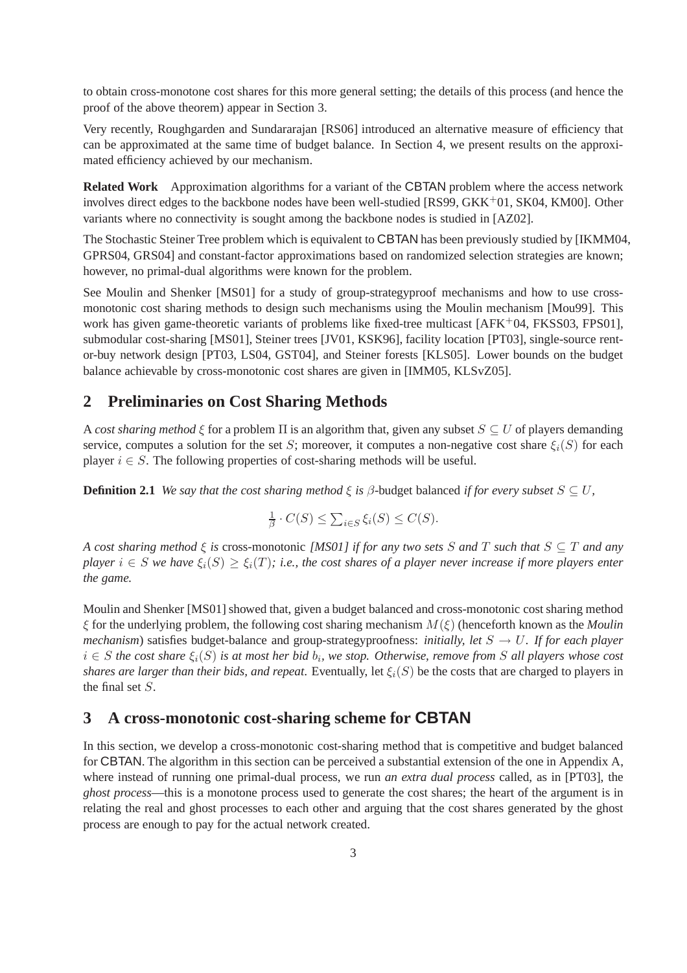to obtain cross-monotone cost shares for this more general setting; the details of this process (and hence the proof of the above theorem) appear in Section 3.

Very recently, Roughgarden and Sundararajan [RS06] introduced an alternative measure of efficiency that can be approximated at the same time of budget balance. In Section 4, we present results on the approximated efficiency achieved by our mechanism.

**Related Work** Approximation algorithms for a variant of the CBTAN problem where the access network involves direct edges to the backbone nodes have been well-studied [RS99, GKK<sup>+</sup>01, SK04, KM00]. Other variants where no connectivity is sought among the backbone nodes is studied in [AZ02].

The Stochastic Steiner Tree problem which is equivalent to CBTAN has been previously studied by [IKMM04, GPRS04, GRS04] and constant-factor approximations based on randomized selection strategies are known; however, no primal-dual algorithms were known for the problem.

See Moulin and Shenker [MS01] for a study of group-strategyproof mechanisms and how to use crossmonotonic cost sharing methods to design such mechanisms using the Moulin mechanism [Mou99]. This work has given game-theoretic variants of problems like fixed-tree multicast [AFK+04, FKSS03, FPS01]. submodular cost-sharing [MS01], Steiner trees [JV01, KSK96], facility location [PT03], single-source rentor-buy network design [PT03, LS04, GST04], and Steiner forests [KLS05]. Lower bounds on the budget balance achievable by cross-monotonic cost shares are given in [IMM05, KLSvZ05].

# **2 Preliminaries on Cost Sharing Methods**

A *cost sharing method*  $\xi$  for a problem  $\Pi$  is an algorithm that, given any subset  $S \subseteq U$  of players demanding service, computes a solution for the set S; moreover, it computes a non-negative cost share  $\xi_i(S)$  for each player  $i \in S$ . The following properties of cost-sharing methods will be useful.

**Definition 2.1** *We say that the cost sharing method*  $\xi$  *is*  $\beta$ -budget balanced *if for every subset*  $S \subseteq U$ ,

$$
\frac{1}{\beta} \cdot C(S) \le \sum_{i \in S} \xi_i(S) \le C(S).
$$

*A cost sharing method* ξ *is* cross-monotonic *[MS01] if for any two sets* S *and* T *such that* S ⊆ T *and any player*  $i \in S$  *we have*  $\xi_i(S) \geq \xi_i(T)$ *; i.e., the cost shares of a player never increase if more players enter the game.*

Moulin and Shenker [MS01] showed that, given a budget balanced and cross-monotonic cost sharing method  $\xi$  for the underlying problem, the following cost sharing mechanism  $M(\xi)$  (henceforth known as the *Moulin mechanism*) satisfies budget-balance and group-strategyproofness: *initially, let* S → U*. If for each player*  $i \in S$  the cost share  $\xi_i(S)$  is at most her bid  $b_i$ , we stop. Otherwise, remove from S all players whose cost *shares are larger than their bids, and repeat.* Eventually, let  $\xi_i(S)$  be the costs that are charged to players in the final set S.

# **3 A cross-monotonic cost-sharing scheme for CBTAN**

In this section, we develop a cross-monotonic cost-sharing method that is competitive and budget balanced for CBTAN. The algorithm in this section can be perceived a substantial extension of the one in Appendix A, where instead of running one primal-dual process, we run *an extra dual process* called, as in [PT03], the *ghost process*—this is a monotone process used to generate the cost shares; the heart of the argument is in relating the real and ghost processes to each other and arguing that the cost shares generated by the ghost process are enough to pay for the actual network created.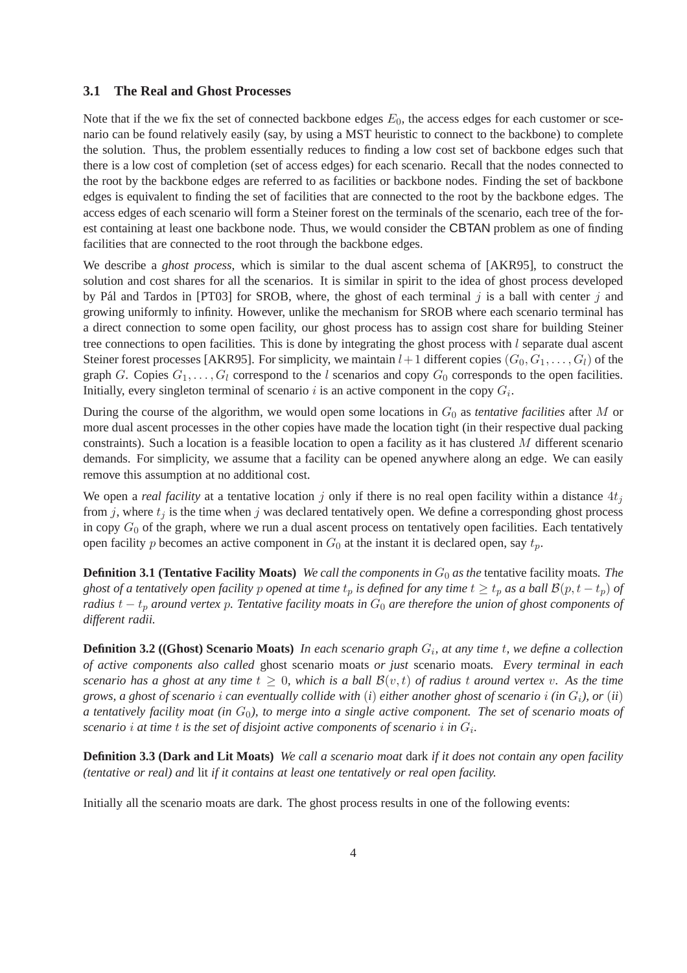### **3.1 The Real and Ghost Processes**

Note that if the we fix the set of connected backbone edges  $E_0$ , the access edges for each customer or scenario can be found relatively easily (say, by using a MST heuristic to connect to the backbone) to complete the solution. Thus, the problem essentially reduces to finding a low cost set of backbone edges such that there is a low cost of completion (set of access edges) for each scenario. Recall that the nodes connected to the root by the backbone edges are referred to as facilities or backbone nodes. Finding the set of backbone edges is equivalent to finding the set of facilities that are connected to the root by the backbone edges. The access edges of each scenario will form a Steiner forest on the terminals of the scenario, each tree of the forest containing at least one backbone node. Thus, we would consider the CBTAN problem as one of finding facilities that are connected to the root through the backbone edges.

We describe a *ghost process*, which is similar to the dual ascent schema of [AKR95], to construct the solution and cost shares for all the scenarios. It is similar in spirit to the idea of ghost process developed by Pál and Tardos in [PT03] for SROB, where, the ghost of each terminal  $j$  is a ball with center  $j$  and growing uniformly to infinity. However, unlike the mechanism for SROB where each scenario terminal has a direct connection to some open facility, our ghost process has to assign cost share for building Steiner tree connections to open facilities. This is done by integrating the ghost process with l separate dual ascent Steiner forest processes [AKR95]. For simplicity, we maintain  $l+1$  different copies  $(G_0, G_1, \ldots, G_l)$  of the graph G. Copies  $G_1, \ldots, G_l$  correspond to the l scenarios and copy  $G_0$  corresponds to the open facilities. Initially, every singleton terminal of scenario i is an active component in the copy  $G_i$ .

During the course of the algorithm, we would open some locations in G<sup>0</sup> as *tentative facilities* after M or more dual ascent processes in the other copies have made the location tight (in their respective dual packing constraints). Such a location is a feasible location to open a facility as it has clustered  $M$  different scenario demands. For simplicity, we assume that a facility can be opened anywhere along an edge. We can easily remove this assumption at no additional cost.

We open a *real facility* at a tentative location  $j$  only if there is no real open facility within a distance  $4t_j$ from j, where  $t_i$  is the time when j was declared tentatively open. We define a corresponding ghost process in copy  $G_0$  of the graph, where we run a dual ascent process on tentatively open facilities. Each tentatively open facility p becomes an active component in  $G_0$  at the instant it is declared open, say  $t_p$ .

**Definition 3.1 (Tentative Facility Moats)** *We call the components in*  $G_0$  *as the* tentative facility moats. The *ghost of a tentatively open facility* p *opened at time*  $t_p$  *is defined for any time*  $t \geq t_p$  *as a ball*  $\mathcal{B}(p, t - t_p)$  *of radius*  $t - t_p$  *around vertex* p. Tentative facility moats in  $G_0$  are therefore the union of ghost components of *different radii.*

**Definition 3.2 ((Ghost) Scenario Moats)** In each scenario graph  $G_i$ , at any time t, we define a collection *of active components also called* ghost scenario moats *or just* scenario moats*. Every terminal in each scenario has a ghost at any time*  $t \geq 0$ *, which is a ball*  $\mathcal{B}(v,t)$  *of radius t around vertex* v. As the time *grows, a ghost of scenario* i *can eventually collide with* (*i*) *either another ghost of scenario* i *(in* Gi*), or* (*ii*) *a tentatively facility moat (in*  $G_0$ ), to merge into a single active component. The set of scenario moats of scenario  $i$  at time  $t$  is the set of disjoint active components of scenario  $i$  in  $G_i$ .

**Definition 3.3 (Dark and Lit Moats)** *We call a scenario moat* dark *if it does not contain any open facility (tentative or real) and* lit *if it contains at least one tentatively or real open facility.*

Initially all the scenario moats are dark. The ghost process results in one of the following events: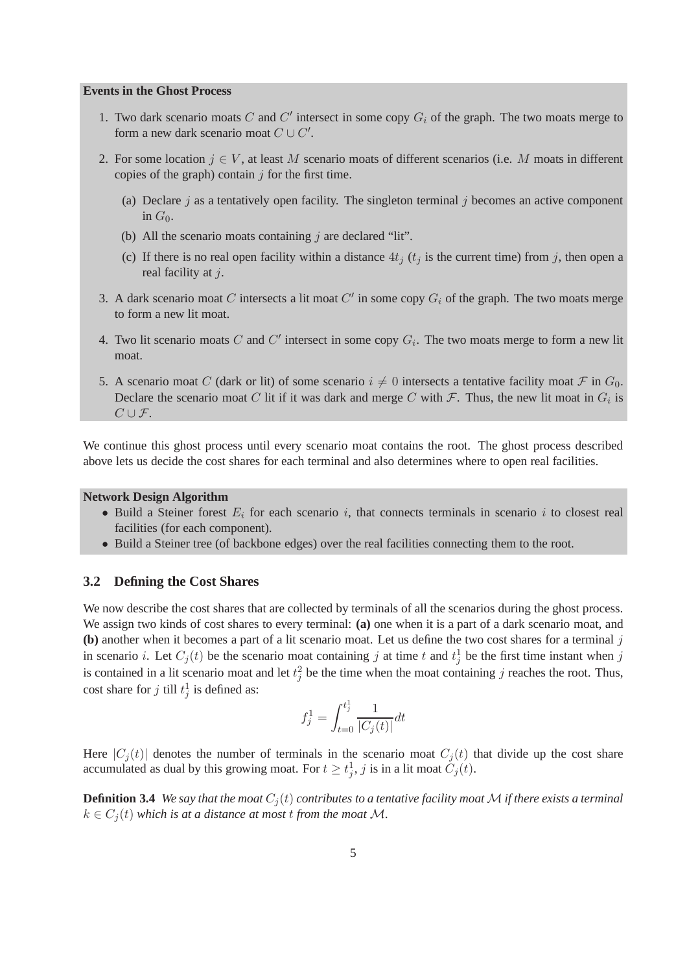#### **Events in the Ghost Process**

- 1. Two dark scenario moats  $C$  and  $C'$  intersect in some copy  $G_i$  of the graph. The two moats merge to form a new dark scenario moat  $C \cup C'$ .
- 2. For some location  $j \in V$ , at least M scenario moats of different scenarios (i.e. M moats in different copies of the graph) contain  $j$  for the first time.
	- (a) Declare  $j$  as a tentatively open facility. The singleton terminal  $j$  becomes an active component in  $G_0$ .
	- (b) All the scenario moats containing  $j$  are declared "lit".
	- (c) If there is no real open facility within a distance  $4t_i$  ( $t_i$  is the current time) from j, then open a real facility at *i*.
- 3. A dark scenario moat C intersects a lit moat  $C'$  in some copy  $G_i$  of the graph. The two moats merge to form a new lit moat.
- 4. Two lit scenario moats C and C' intersect in some copy  $G_i$ . The two moats merge to form a new lit moat.
- 5. A scenario moat C (dark or lit) of some scenario  $i \neq 0$  intersects a tentative facility moat F in  $G_0$ . Declare the scenario moat C lit if it was dark and merge C with F. Thus, the new lit moat in  $G_i$  is  $C\cup\mathcal{F}.$

We continue this ghost process until every scenario moat contains the root. The ghost process described above lets us decide the cost shares for each terminal and also determines where to open real facilities.

#### **Network Design Algorithm**

- Build a Steiner forest  $E_i$  for each scenario i, that connects terminals in scenario i to closest real facilities (for each component).
- Build a Steiner tree (of backbone edges) over the real facilities connecting them to the root.

### **3.2 Defining the Cost Shares**

We now describe the cost shares that are collected by terminals of all the scenarios during the ghost process. We assign two kinds of cost shares to every terminal: **(a)** one when it is a part of a dark scenario moat, and **(b)** another when it becomes a part of a lit scenario moat. Let us define the two cost shares for a terminal j in scenario *i*. Let  $C_j(t)$  be the scenario moat containing *j* at time *t* and  $t_j^1$  be the first time instant when *j* is contained in a lit scenario moat and let  $t_j^2$  be the time when the moat containing j reaches the root. Thus, cost share for j till  $t_j^1$  is defined as:

$$
f_j^1 = \int_{t=0}^{t_j^1} \frac{1}{|C_j(t)|} dt
$$

Here  $|C_i(t)|$  denotes the number of terminals in the scenario moat  $C_i(t)$  that divide up the cost share accumulated as dual by this growing moat. For  $t \geq t_j^1$ , j is in a lit moat  $C_j(t)$ .

**Definition 3.4** *We say that the moat*  $C_j(t)$  *contributes to a tentative facility moat*  $M$  *if there exists a terminal*  $k \in C_i(t)$  *which is at a distance at most t from the moat* M.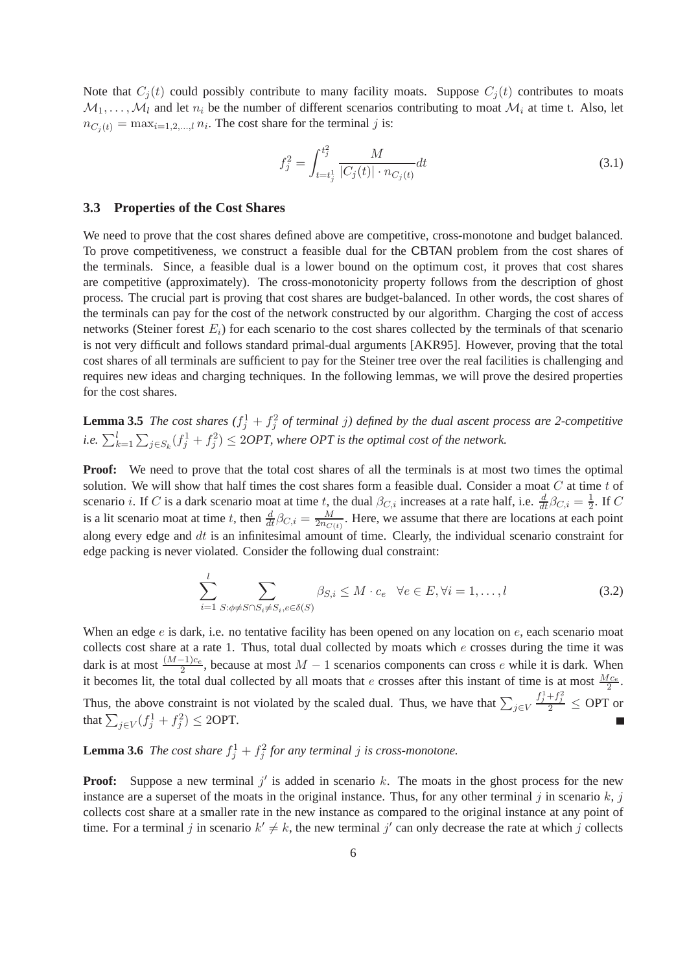Note that  $C_i(t)$  could possibly contribute to many facility moats. Suppose  $C_i(t)$  contributes to moats  $M_1, \ldots, M_l$  and let  $n_i$  be the number of different scenarios contributing to moat  $M_i$  at time t. Also, let  $n_{C_j(t)} = \max_{i=1,2,\dots,l} n_i$ . The cost share for the terminal j is:

$$
f_j^2 = \int_{t=t_j^1}^{t_j^2} \frac{M}{|C_j(t)| \cdot n_{C_j(t)}} dt
$$
\n(3.1)

#### **3.3 Properties of the Cost Shares**

We need to prove that the cost shares defined above are competitive, cross-monotone and budget balanced. To prove competitiveness, we construct a feasible dual for the CBTAN problem from the cost shares of the terminals. Since, a feasible dual is a lower bound on the optimum cost, it proves that cost shares are competitive (approximately). The cross-monotonicity property follows from the description of ghost process. The crucial part is proving that cost shares are budget-balanced. In other words, the cost shares of the terminals can pay for the cost of the network constructed by our algorithm. Charging the cost of access networks (Steiner forest  $E_i$ ) for each scenario to the cost shares collected by the terminals of that scenario is not very difficult and follows standard primal-dual arguments [AKR95]. However, proving that the total cost shares of all terminals are sufficient to pay for the Steiner tree over the real facilities is challenging and requires new ideas and charging techniques. In the following lemmas, we will prove the desired properties for the cost shares.

**Lemma 3.5** *The cost shares*  $(f_j^1 + f_j^2)$  *of terminal j) defined by the dual ascent process are 2-competitive i.e.*  $\sum_{k=1}^{l} \sum_{j \in S_k} (f_j^1 + f_j^2) \le 2OPT$ , where OPT is the optimal cost of the network.

**Proof:** We need to prove that the total cost shares of all the terminals is at most two times the optimal solution. We will show that half times the cost shares form a feasible dual. Consider a moat  $C$  at time  $t$  of scenario *i*. If C is a dark scenario moat at time t, the dual  $\beta_{C,i}$  increases at a rate half, i.e.  $\frac{d}{dt}\beta_{C,i} = \frac{1}{2}$  $\frac{1}{2}$ . If C is a lit scenario moat at time t, then  $\frac{d}{dt} \beta_{C,i} = \frac{M}{2n_C}$  $\frac{M}{2n_{C(t)}}$ . Here, we assume that there are locations at each point along every edge and  $dt$  is an infinitesimal amount of time. Clearly, the individual scenario constraint for edge packing is never violated. Consider the following dual constraint:

$$
\sum_{i=1}^{l} \sum_{S:\phi \neq S \cap S_i \neq S_i, e \in \delta(S)} \beta_{S,i} \leq M \cdot c_e \quad \forall e \in E, \forall i = 1, \dots, l \tag{3.2}
$$

When an edge e is dark, i.e. no tentative facility has been opened on any location on e, each scenario moat collects cost share at a rate 1. Thus, total dual collected by moats which  $e$  crosses during the time it was dark is at most  $\frac{(M-1)c_e}{2}$ , because at most  $M-1$  scenarios components can cross e while it is dark. When it becomes lit, the total dual collected by all moats that *e* crosses after this instant of time is at most  $\frac{Mc_e}{2}$ . Thus, the above constraint is not violated by the scaled dual. Thus, we have that  $\sum_{j\in V}$  $\frac{f_j^1+f_j^2}{2}\leq$  OPT or that  $\sum_{j\in V} (f_j^1+f_j^2)\leq 2\text{OPT}$ .

# **Lemma 3.6** *The cost share*  $f_j^1 + f_j^2$  *for any terminal j is cross-monotone.*

**Proof:** Suppose a new terminal  $j'$  is added in scenario  $k$ . The moats in the ghost process for the new instance are a superset of the moats in the original instance. Thus, for any other terminal j in scenario  $k$ , j collects cost share at a smaller rate in the new instance as compared to the original instance at any point of time. For a terminal j in scenario  $k' \neq k$ , the new terminal j' can only decrease the rate at which j collects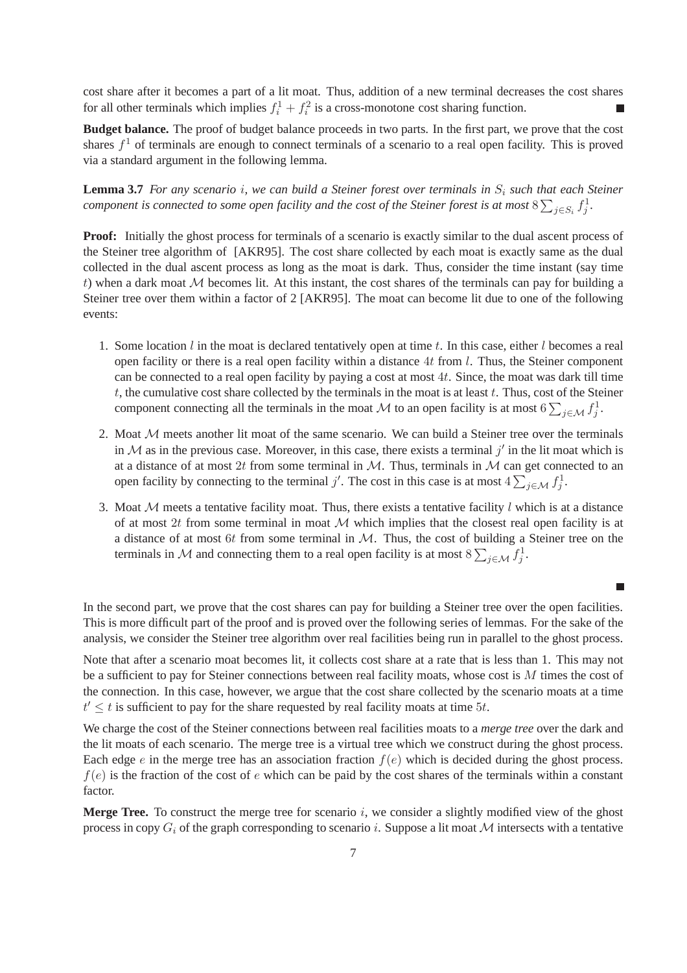cost share after it becomes a part of a lit moat. Thus, addition of a new terminal decreases the cost shares for all other terminals which implies  $f_i^1 + f_i^2$  is a cross-monotone cost sharing function.

**Budget balance.** The proof of budget balance proceeds in two parts. In the first part, we prove that the cost shares  $f<sup>1</sup>$  of terminals are enough to connect terminals of a scenario to a real open facility. This is proved via a standard argument in the following lemma.

**Lemma 3.7** *For any scenario i, we can build a Steiner forest over terminals in*  $S_i$  *such that each Steiner component is connected to some open facility and the cost of the Steiner forest is at most*  $8\sum_{j\in S_i}f_j^1$ .

**Proof:** Initially the ghost process for terminals of a scenario is exactly similar to the dual ascent process of the Steiner tree algorithm of [AKR95]. The cost share collected by each moat is exactly same as the dual collected in the dual ascent process as long as the moat is dark. Thus, consider the time instant (say time t) when a dark moat  $M$  becomes lit. At this instant, the cost shares of the terminals can pay for building a Steiner tree over them within a factor of 2 [AKR95]. The moat can become lit due to one of the following events:

- 1. Some location  $l$  in the moat is declared tentatively open at time  $t$ . In this case, either  $l$  becomes a real open facility or there is a real open facility within a distance 4t from  $l$ . Thus, the Steiner component can be connected to a real open facility by paying a cost at most 4t. Since, the moat was dark till time t, the cumulative cost share collected by the terminals in the moat is at least t. Thus, cost of the Steiner component connecting all the terminals in the moat M to an open facility is at most  $6\sum_{j\in\mathcal{M}}f_j^1$ .
- 2. Moat  $M$  meets another lit moat of the same scenario. We can build a Steiner tree over the terminals in  $M$  as in the previous case. Moreover, in this case, there exists a terminal  $j'$  in the lit moat which is at a distance of at most 2t from some terminal in  $M$ . Thus, terminals in  $M$  can get connected to an open facility by connecting to the terminal j'. The cost in this case is at most  $4\sum_{j\in\mathcal{M}}f_j^1$ .
- 3. Moat  $M$  meets a tentative facility moat. Thus, there exists a tentative facility l which is at a distance of at most 2t from some terminal in moat  $M$  which implies that the closest real open facility is at a distance of at most  $6t$  from some terminal in  $M$ . Thus, the cost of building a Steiner tree on the terminals in M and connecting them to a real open facility is at most  $8\sum_{j\in\mathcal{M}}f_j^1$ .

 $\Box$ 

In the second part, we prove that the cost shares can pay for building a Steiner tree over the open facilities. This is more difficult part of the proof and is proved over the following series of lemmas. For the sake of the analysis, we consider the Steiner tree algorithm over real facilities being run in parallel to the ghost process.

Note that after a scenario moat becomes lit, it collects cost share at a rate that is less than 1. This may not be a sufficient to pay for Steiner connections between real facility moats, whose cost is M times the cost of the connection. In this case, however, we argue that the cost share collected by the scenario moats at a time  $t' \leq t$  is sufficient to pay for the share requested by real facility moats at time 5t.

We charge the cost of the Steiner connections between real facilities moats to a *merge tree* over the dark and the lit moats of each scenario. The merge tree is a virtual tree which we construct during the ghost process. Each edge  $e$  in the merge tree has an association fraction  $f(e)$  which is decided during the ghost process.  $f(e)$  is the fraction of the cost of e which can be paid by the cost shares of the terminals within a constant factor.

**Merge Tree.** To construct the merge tree for scenario  $i$ , we consider a slightly modified view of the ghost process in copy  $G_i$  of the graph corresponding to scenario i. Suppose a lit moat M intersects with a tentative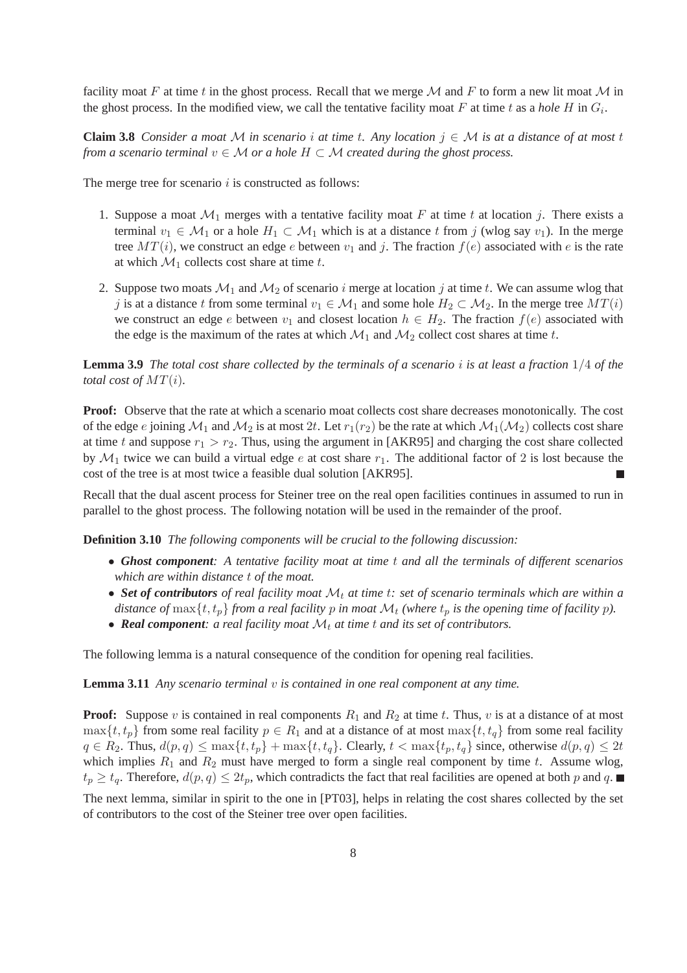facility moat F at time t in the ghost process. Recall that we merge  $M$  and F to form a new lit moat  $M$  in the ghost process. In the modified view, we call the tentative facility moat  $F$  at time  $t$  as a *hole*  $H$  in  $G_i$ .

**Claim 3.8** *Consider a moat* M *in scenario i at time t. Any location*  $j \in M$  *is at a distance of at most t from a scenario terminal*  $v \in M$  *or a hole*  $H \subset M$  *created during the ghost process.* 

The merge tree for scenario  $i$  is constructed as follows:

- 1. Suppose a moat  $\mathcal{M}_1$  merges with a tentative facility moat F at time t at location j. There exists a terminal  $v_1 \in \mathcal{M}_1$  or a hole  $H_1 \subset \mathcal{M}_1$  which is at a distance t from j (wlog say  $v_1$ ). In the merge tree  $MT(i)$ , we construct an edge e between  $v_1$  and j. The fraction  $f(e)$  associated with e is the rate at which  $\mathcal{M}_1$  collects cost share at time t.
- 2. Suppose two moats  $\mathcal{M}_1$  and  $\mathcal{M}_2$  of scenario i merge at location j at time t. We can assume wlog that j is at a distance t from some terminal  $v_1 \in M_1$  and some hole  $H_2 \subset M_2$ . In the merge tree  $MT(i)$ we construct an edge e between  $v_1$  and closest location  $h \in H_2$ . The fraction  $f(e)$  associated with the edge is the maximum of the rates at which  $\mathcal{M}_1$  and  $\mathcal{M}_2$  collect cost shares at time t.

**Lemma 3.9** *The total cost share collected by the terminals of a scenario* i *is at least a fraction* 1/4 *of the total cost of MT(i).* 

**Proof:** Observe that the rate at which a scenario moat collects cost share decreases monotonically. The cost of the edge e joining  $\mathcal{M}_1$  and  $\mathcal{M}_2$  is at most 2t. Let  $r_1(r_2)$  be the rate at which  $\mathcal{M}_1(\mathcal{M}_2)$  collects cost share at time t and suppose  $r_1 > r_2$ . Thus, using the argument in [AKR95] and charging the cost share collected by  $\mathcal{M}_1$  twice we can build a virtual edge e at cost share  $r_1$ . The additional factor of 2 is lost because the cost of the tree is at most twice a feasible dual solution [AKR95].

Recall that the dual ascent process for Steiner tree on the real open facilities continues in assumed to run in parallel to the ghost process. The following notation will be used in the remainder of the proof.

**Definition 3.10** *The following components will be crucial to the following discussion:*

- *Ghost component: A tentative facility moat at time* t *and all the terminals of different scenarios which are within distance* t *of the moat.*
- Set of contributors of real facility moat  $\mathcal{M}_t$  at time t: set of scenario terminals which are within a *distance of* max $\{t, t_p\}$  *from a real facility* p *in moat*  $\mathcal{M}_t$  *(where*  $t_p$  *is the opening time of facility* p).
- **Real component**: a real facility moat  $\mathcal{M}_t$  at time  $t$  and its set of contributors.

The following lemma is a natural consequence of the condition for opening real facilities.

**Lemma 3.11** *Any scenario terminal* v *is contained in one real component at any time.*

**Proof:** Suppose v is contained in real components  $R_1$  and  $R_2$  at time t. Thus, v is at a distance of at most  $\max\{t, t_p\}$  from some real facility  $p \in R_1$  and at a distance of at most  $\max\{t, t_q\}$  from some real facility  $q \in R_2$ . Thus,  $d(p,q) \leq \max\{t,t_p\} + \max\{t,t_q\}$ . Clearly,  $t < \max\{t_p,t_q\}$  since, otherwise  $d(p,q) \leq 2t$ which implies  $R_1$  and  $R_2$  must have merged to form a single real component by time t. Assume wlog,  $t_p \ge t_q$ . Therefore,  $d(p,q) \le 2t_p$ , which contradicts the fact that real facilities are opened at both p and q.

The next lemma, similar in spirit to the one in [PT03], helps in relating the cost shares collected by the set of contributors to the cost of the Steiner tree over open facilities.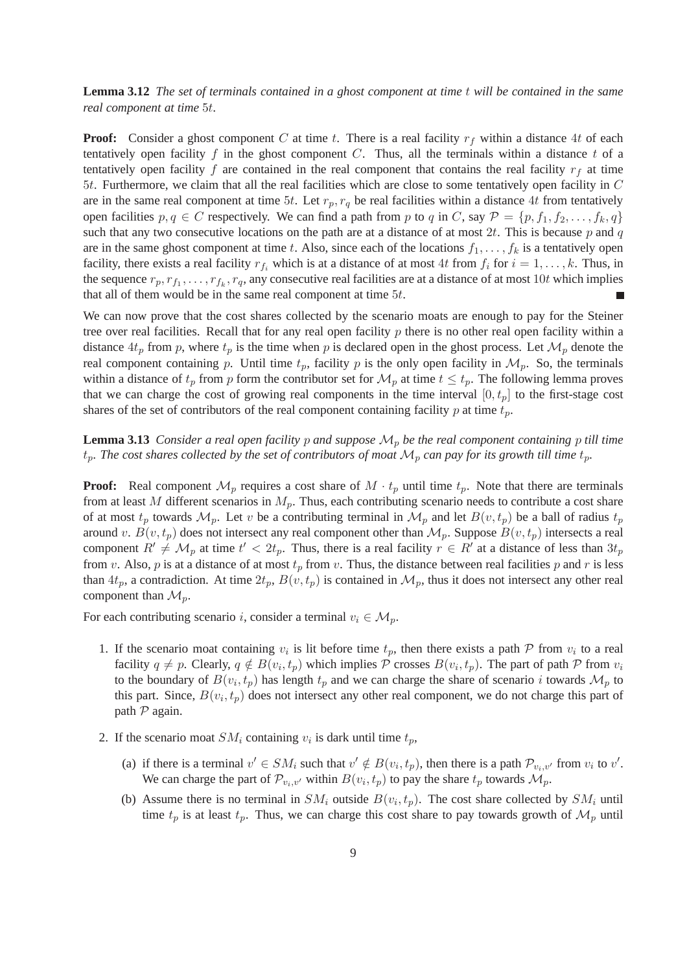**Lemma 3.12** *The set of terminals contained in a ghost component at time* t *will be contained in the same real component at time* 5t*.*

**Proof:** Consider a ghost component C at time t. There is a real facility  $r_f$  within a distance 4t of each tentatively open facility f in the ghost component  $C$ . Thus, all the terminals within a distance t of a tentatively open facility f are contained in the real component that contains the real facility  $r_f$  at time 5t. Furthermore, we claim that all the real facilities which are close to some tentatively open facility in C are in the same real component at time 5t. Let  $r_p, r_q$  be real facilities within a distance 4t from tentatively open facilities  $p, q \in C$  respectively. We can find a path from p to q in C, say  $\mathcal{P} = \{p, f_1, f_2, \ldots, f_k, q\}$ such that any two consecutive locations on the path are at a distance of at most  $2t$ . This is because p and q are in the same ghost component at time t. Also, since each of the locations  $f_1, \ldots, f_k$  is a tentatively open facility, there exists a real facility  $r_{f_i}$  which is at a distance of at most 4t from  $f_i$  for  $i = 1, \ldots, k$ . Thus, in the sequence  $r_p, r_{f_1}, \ldots, r_{f_k}, r_q$ , any consecutive real facilities are at a distance of at most  $10t$  which implies that all of them would be in the same real component at time 5t.

We can now prove that the cost shares collected by the scenario moats are enough to pay for the Steiner tree over real facilities. Recall that for any real open facility  $p$  there is no other real open facility within a distance  $4t_p$  from p, where  $t_p$  is the time when p is declared open in the ghost process. Let  $\mathcal{M}_p$  denote the real component containing p. Until time  $t_p$ , facility p is the only open facility in  $\mathcal{M}_p$ . So, the terminals within a distance of  $t_p$  from p form the contributor set for  $\mathcal{M}_p$  at time  $t \leq t_p$ . The following lemma proves that we can charge the cost of growing real components in the time interval  $[0, t_p]$  to the first-stage cost shares of the set of contributors of the real component containing facility  $p$  at time  $t_p$ .

**Lemma 3.13** *Consider a real open facility* p *and suppose*  $\mathcal{M}_p$  be the real component containing p till time  $t_p$ . The cost shares collected by the set of contributors of moat  $\mathcal{M}_p$  can pay for its growth till time  $t_p$ .

**Proof:** Real component  $\mathcal{M}_p$  requires a cost share of  $M \cdot t_p$  until time  $t_p$ . Note that there are terminals from at least M different scenarios in  $M_p$ . Thus, each contributing scenario needs to contribute a cost share of at most  $t_p$  towards  $\mathcal{M}_p$ . Let v be a contributing terminal in  $\mathcal{M}_p$  and let  $B(v, t_p)$  be a ball of radius  $t_p$ around v.  $B(v, t_p)$  does not intersect any real component other than  $\mathcal{M}_p$ . Suppose  $B(v, t_p)$  intersects a real component  $R' \neq \mathcal{M}_p$  at time  $t' < 2t_p$ . Thus, there is a real facility  $r \in R'$  at a distance of less than  $3t_p$ from v. Also, p is at a distance of at most  $t_p$  from v. Thus, the distance between real facilities p and r is less than  $4t_p$ , a contradiction. At time  $2t_p$ ,  $B(v, t_p)$  is contained in  $\mathcal{M}_p$ , thus it does not intersect any other real component than  $\mathcal{M}_n$ .

For each contributing scenario *i*, consider a terminal  $v_i \in \mathcal{M}_p$ .

- 1. If the scenario moat containing  $v_i$  is lit before time  $t_p$ , then there exists a path  $P$  from  $v_i$  to a real facility  $q \neq p$ . Clearly,  $q \notin B(v_i, t_p)$  which implies P crosses  $B(v_i, t_p)$ . The part of path P from  $v_i$ to the boundary of  $B(v_i, t_p)$  has length  $t_p$  and we can charge the share of scenario i towards  $\mathcal{M}_p$  to this part. Since,  $B(v_i, t_p)$  does not intersect any other real component, we do not charge this part of path  $P$  again.
- 2. If the scenario moat  $SM_i$  containing  $v_i$  is dark until time  $t_p$ ,
	- (a) if there is a terminal  $v' \in SM_i$  such that  $v' \notin B(v_i, t_p)$ , then there is a path  $\mathcal{P}_{v_i, v'}$  from  $v_i$  to  $v'$ . We can charge the part of  $\mathcal{P}_{v_i,v'}$  within  $B(v_i,t_p)$  to pay the share  $t_p$  towards  $\mathcal{M}_p$ .
	- (b) Assume there is no terminal in  $SM_i$  outside  $B(v_i, t_p)$ . The cost share collected by  $SM_i$  until time  $t_p$  is at least  $t_p$ . Thus, we can charge this cost share to pay towards growth of  $\mathcal{M}_p$  until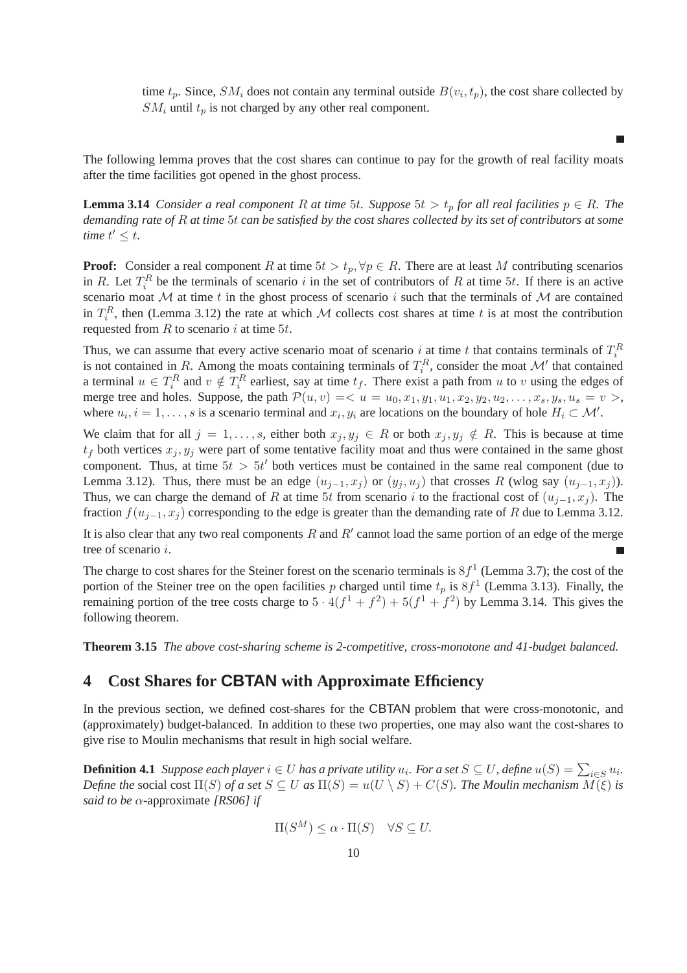time  $t_p$ . Since,  $SM_i$  does not contain any terminal outside  $B(v_i, t_p)$ , the cost share collected by  $SM_i$  until  $t_p$  is not charged by any other real component.

п

The following lemma proves that the cost shares can continue to pay for the growth of real facility moats after the time facilities got opened in the ghost process.

**Lemma 3.14** *Consider a real component* R *at time* 5*t. Suppose* 5*t* >  $t_p$  *for all real facilities*  $p \in R$ *. The demanding rate of* R *at time* 5t *can be satisfied by the cost shares collected by its set of contributors at some time*  $t' \leq t$ .

**Proof:** Consider a real component R at time  $5t > t_p$ ,  $\forall p \in R$ . There are at least M contributing scenarios in R. Let  $T_i^R$  be the terminals of scenario i in the set of contributors of R at time 5t. If there is an active scenario moat  $M$  at time t in the ghost process of scenario i such that the terminals of  $M$  are contained in  $T_i^R$ , then (Lemma 3.12) the rate at which M collects cost shares at time t is at most the contribution requested from  $R$  to scenario  $i$  at time  $5t$ .

Thus, we can assume that every active scenario moat of scenario i at time t that contains terminals of  $T_i^R$ is not contained in R. Among the moats containing terminals of  $T_i^R$ , consider the moat  $\mathcal{M}'$  that contained a terminal  $u \in T_i^R$  and  $v \notin T_i^R$  earliest, say at time  $t_f$ . There exist a path from u to v using the edges of merge tree and holes. Suppose, the path  $\mathcal{P}(u, v) = \langle u = u_0, x_1, y_1, u_1, x_2, y_2, u_2, \dots, x_s, y_s, u_s = v \rangle$ , where  $u_i$ ,  $i = 1, \ldots, s$  is a scenario terminal and  $x_i, y_i$  are locations on the boundary of hole  $H_i \subset \mathcal{M}'$ .

We claim that for all  $j = 1, \ldots, s$ , either both  $x_j, y_j \in R$  or both  $x_j, y_j \notin R$ . This is because at time  $t_f$  both vertices  $x_j, y_j$  were part of some tentative facility moat and thus were contained in the same ghost component. Thus, at time  $5t > 5t'$  both vertices must be contained in the same real component (due to Lemma 3.12). Thus, there must be an edge  $(u_{i-1}, x_i)$  or  $(y_i, u_i)$  that crosses R (wlog say  $(u_{i-1}, x_i)$ ). Thus, we can charge the demand of R at time 5t from scenario i to the fractional cost of  $(u_{i-1}, x_i)$ . The fraction  $f(u_{i-1}, x_i)$  corresponding to the edge is greater than the demanding rate of R due to Lemma 3.12.

It is also clear that any two real components R and  $R'$  cannot load the same portion of an edge of the merge tree of scenario i. П

The charge to cost shares for the Steiner forest on the scenario terminals is  $8f<sup>1</sup>$  (Lemma 3.7); the cost of the portion of the Steiner tree on the open facilities p charged until time  $t_p$  is  $8f<sup>1</sup>$  (Lemma 3.13). Finally, the remaining portion of the tree costs charge to  $5 \cdot 4(f^1 + f^2) + 5(f^1 + f^2)$  by Lemma 3.14. This gives the following theorem.

**Theorem 3.15** *The above cost-sharing scheme is 2-competitive, cross-monotone and 41-budget balanced.*

# **4 Cost Shares for CBTAN with Approximate Efficiency**

In the previous section, we defined cost-shares for the CBTAN problem that were cross-monotonic, and (approximately) budget-balanced. In addition to these two properties, one may also want the cost-shares to give rise to Moulin mechanisms that result in high social welfare.

**Definition 4.1** *Suppose each player*  $i \in U$  *has a private utility*  $u_i$ *. For a set*  $S \subseteq U$ *, define*  $u(S) = \sum_{i \in S} u_i$ *. Define the* social cost  $\Pi(S)$  *of a set*  $S \subseteq U$  *as*  $\Pi(S) = u(U \setminus S) + C(S)$ *. The Moulin mechanism*  $M(\xi)$  *is said to be* α-approximate *[RS06] if*

$$
\Pi(S^M) \le \alpha \cdot \Pi(S) \quad \forall S \subseteq U.
$$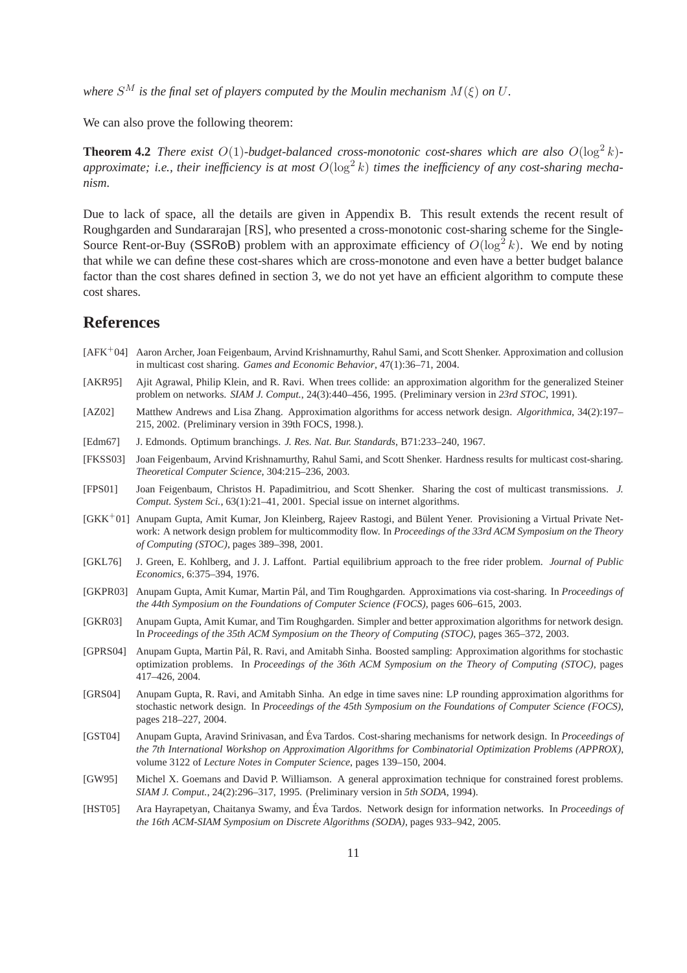*where*  $S^M$  *is the final set of players computed by the Moulin mechanism*  $M(\xi)$  *on*  $U$ *.* 

We can also prove the following theorem:

**Theorem 4.2** *There exist*  $O(1)$ *-budget-balanced cross-monotonic cost-shares which are also*  $O(\log^2 k)$ approximate; i.e., their inefficiency is at most  $O(\log^2 k)$  times the inefficiency of any cost-sharing mecha*nism.*

Due to lack of space, all the details are given in Appendix B. This result extends the recent result of Roughgarden and Sundararajan [RS], who presented a cross-monotonic cost-sharing scheme for the Single-Source Rent-or-Buy (SSRoB) problem with an approximate efficiency of  $O(\log^2 k)$ . We end by noting that while we can define these cost-shares which are cross-monotone and even have a better budget balance factor than the cost shares defined in section 3, we do not yet have an efficient algorithm to compute these cost shares.

# **References**

- [AFK<sup>+</sup>04] Aaron Archer, Joan Feigenbaum, Arvind Krishnamurthy, Rahul Sami, and Scott Shenker. Approximation and collusion in multicast cost sharing. *Games and Economic Behavior*, 47(1):36–71, 2004.
- [AKR95] Ajit Agrawal, Philip Klein, and R. Ravi. When trees collide: an approximation algorithm for the generalized Steiner problem on networks. *SIAM J. Comput.*, 24(3):440–456, 1995. (Preliminary version in *23rd STOC*, 1991).
- [AZ02] Matthew Andrews and Lisa Zhang. Approximation algorithms for access network design. *Algorithmica*, 34(2):197– 215, 2002. (Preliminary version in 39th FOCS, 1998.).
- [Edm67] J. Edmonds. Optimum branchings. *J. Res. Nat. Bur. Standards*, B71:233–240, 1967.
- [FKSS03] Joan Feigenbaum, Arvind Krishnamurthy, Rahul Sami, and Scott Shenker. Hardness results for multicast cost-sharing. *Theoretical Computer Science*, 304:215–236, 2003.
- [FPS01] Joan Feigenbaum, Christos H. Papadimitriou, and Scott Shenker. Sharing the cost of multicast transmissions. *J. Comput. System Sci.*, 63(1):21–41, 2001. Special issue on internet algorithms.
- [GKK<sup>+</sup>01] Anupam Gupta, Amit Kumar, Jon Kleinberg, Rajeev Rastogi, and Bülent Yener. Provisioning a Virtual Private Network: A network design problem for multicommodity flow. In *Proceedings of the 33rd ACM Symposium on the Theory of Computing (STOC)*, pages 389–398, 2001.
- [GKL76] J. Green, E. Kohlberg, and J. J. Laffont. Partial equilibrium approach to the free rider problem. *Journal of Public Economics*, 6:375–394, 1976.
- [GKPR03] Anupam Gupta, Amit Kumar, Martin Pál, and Tim Roughgarden. Approximations via cost-sharing. In *Proceedings of the 44th Symposium on the Foundations of Computer Science (FOCS)*, pages 606–615, 2003.
- [GKR03] Anupam Gupta, Amit Kumar, and Tim Roughgarden. Simpler and better approximation algorithms for network design. In *Proceedings of the 35th ACM Symposium on the Theory of Computing (STOC)*, pages 365–372, 2003.
- [GPRS04] Anupam Gupta, Martin Pál, R. Ravi, and Amitabh Sinha. Boosted sampling: Approximation algorithms for stochastic optimization problems. In *Proceedings of the 36th ACM Symposium on the Theory of Computing (STOC)*, pages 417–426, 2004.
- [GRS04] Anupam Gupta, R. Ravi, and Amitabh Sinha. An edge in time saves nine: LP rounding approximation algorithms for stochastic network design. In *Proceedings of the 45th Symposium on the Foundations of Computer Science (FOCS)*, pages 218–227, 2004.
- [GST04] Anupam Gupta, Aravind Srinivasan, and Éva Tardos. Cost-sharing mechanisms for network design. In *Proceedings of the 7th International Workshop on Approximation Algorithms for Combinatorial Optimization Problems (APPROX)*, volume 3122 of *Lecture Notes in Computer Science*, pages 139–150, 2004.
- [GW95] Michel X. Goemans and David P. Williamson. A general approximation technique for constrained forest problems. *SIAM J. Comput.*, 24(2):296–317, 1995. (Preliminary version in *5th SODA*, 1994).
- [HST05] Ara Hayrapetyan, Chaitanya Swamy, and Éva Tardos. Network design for information networks. In *Proceedings of the 16th ACM-SIAM Symposium on Discrete Algorithms (SODA)*, pages 933–942, 2005.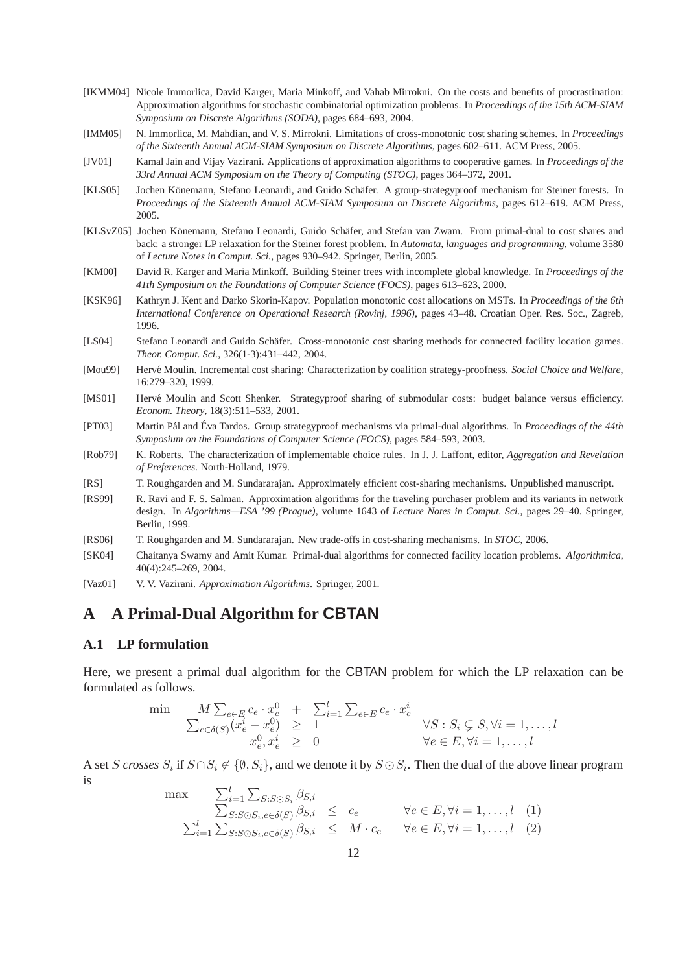- [IKMM04] Nicole Immorlica, David Karger, Maria Minkoff, and Vahab Mirrokni. On the costs and benefits of procrastination: Approximation algorithms for stochastic combinatorial optimization problems. In *Proceedings of the 15th ACM-SIAM Symposium on Discrete Algorithms (SODA)*, pages 684–693, 2004.
- [IMM05] N. Immorlica, M. Mahdian, and V. S. Mirrokni. Limitations of cross-monotonic cost sharing schemes. In *Proceedings of the Sixteenth Annual ACM-SIAM Symposium on Discrete Algorithms*, pages 602–611. ACM Press, 2005.
- [JV01] Kamal Jain and Vijay Vazirani. Applications of approximation algorithms to cooperative games. In *Proceedings of the 33rd Annual ACM Symposium on the Theory of Computing (STOC)*, pages 364–372, 2001.
- [KLS05] Jochen Könemann, Stefano Leonardi, and Guido Schäfer. A group-strategyproof mechanism for Steiner forests. In *Proceedings of the Sixteenth Annual ACM-SIAM Symposium on Discrete Algorithms*, pages 612–619. ACM Press, 2005.
- [KLSvZ05] Jochen Könemann, Stefano Leonardi, Guido Schäfer, and Stefan van Zwam. From primal-dual to cost shares and back: a stronger LP relaxation for the Steiner forest problem. In *Automata, languages and programming*, volume 3580 of *Lecture Notes in Comput. Sci.*, pages 930–942. Springer, Berlin, 2005.
- [KM00] David R. Karger and Maria Minkoff. Building Steiner trees with incomplete global knowledge. In *Proceedings of the 41th Symposium on the Foundations of Computer Science (FOCS)*, pages 613–623, 2000.
- [KSK96] Kathryn J. Kent and Darko Skorin-Kapov. Population monotonic cost allocations on MSTs. In *Proceedings of the 6th International Conference on Operational Research (Rovinj, 1996)*, pages 43–48. Croatian Oper. Res. Soc., Zagreb, 1996.
- [LS04] Stefano Leonardi and Guido Schäfer. Cross-monotonic cost sharing methods for connected facility location games. *Theor. Comput. Sci.*, 326(1-3):431–442, 2004.
- [Mou99] Herv´e Moulin. Incremental cost sharing: Characterization by coalition strategy-proofness. *Social Choice and Welfare*, 16:279–320, 1999.
- [MS01] Hervé Moulin and Scott Shenker. Strategyproof sharing of submodular costs: budget balance versus efficiency. *Econom. Theory*, 18(3):511–533, 2001.
- [PT03] Martin Pál and Éva Tardos. Group strategyproof mechanisms via primal-dual algorithms. In *Proceedings of the 44th Symposium on the Foundations of Computer Science (FOCS)*, pages 584–593, 2003.
- [Rob79] K. Roberts. The characterization of implementable choice rules. In J. J. Laffont, editor, *Aggregation and Revelation of Preferences*. North-Holland, 1979.
- [RS] T. Roughgarden and M. Sundararajan. Approximately efficient cost-sharing mechanisms. Unpublished manuscript.
- [RS99] R. Ravi and F. S. Salman. Approximation algorithms for the traveling purchaser problem and its variants in network design. In *Algorithms—ESA '99 (Prague)*, volume 1643 of *Lecture Notes in Comput. Sci.*, pages 29–40. Springer, Berlin, 1999.
- [RS06] T. Roughgarden and M. Sundararajan. New trade-offs in cost-sharing mechanisms. In *STOC*, 2006.
- [SK04] Chaitanya Swamy and Amit Kumar. Primal-dual algorithms for connected facility location problems. *Algorithmica*, 40(4):245–269, 2004.
- [Vaz01] V. V. Vazirani. *Approximation Algorithms*. Springer, 2001.

# **A A Primal-Dual Algorithm for CBTAN**

#### **A.1 LP formulation**

Here, we present a primal dual algorithm for the CBTAN problem for which the LP relaxation can be formulated as follows.

$$
\begin{array}{lll}\n\min & & M \sum_{e \in E} c_e \cdot x_e^0 + \sum_{i=1}^l \sum_{e \in E} c_e \cdot x_e^i \\
& \sum_{e \in \delta(S)} (x_e^i + x_e^0) & \geq 1 & \forall S : S_i \subsetneq S, \forall i = 1, \dots, l \\
& x_e^0, x_e^i & \geq 0 & \forall e \in E, \forall i = 1, \dots, l\n\end{array}
$$

A set S *crosses*  $S_i$  if  $S \cap S_i \notin \{ \emptyset, S_i \}$ , and we denote it by  $S \odot S_i$ . Then the dual of the above linear program is

$$
\max \sum_{i=1}^{l} \sum_{S:S \odot S_i, e \in \delta(S)} \beta_{S,i} \leq c_e \qquad \forall e \in E, \forall i = 1, ..., l \quad (1)
$$
  

$$
\sum_{i=1}^{l} \sum_{S:S \odot S_i, e \in \delta(S)} \beta_{S,i} \leq M \cdot c_e \qquad \forall e \in E, \forall i = 1, ..., l \quad (2)
$$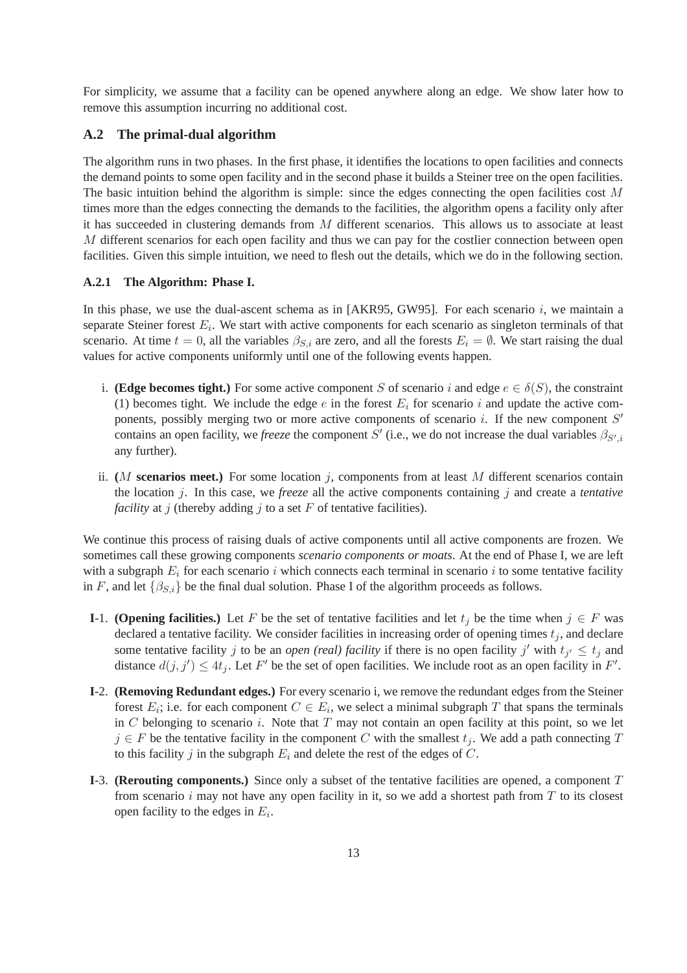For simplicity, we assume that a facility can be opened anywhere along an edge. We show later how to remove this assumption incurring no additional cost.

### **A.2 The primal-dual algorithm**

The algorithm runs in two phases. In the first phase, it identifies the locations to open facilities and connects the demand points to some open facility and in the second phase it builds a Steiner tree on the open facilities. The basic intuition behind the algorithm is simple: since the edges connecting the open facilities cost  $M$ times more than the edges connecting the demands to the facilities, the algorithm opens a facility only after it has succeeded in clustering demands from M different scenarios. This allows us to associate at least M different scenarios for each open facility and thus we can pay for the costlier connection between open facilities. Given this simple intuition, we need to flesh out the details, which we do in the following section.

#### **A.2.1 The Algorithm: Phase I.**

In this phase, we use the dual-ascent schema as in [AKR95, GW95]. For each scenario  $i$ , we maintain a separate Steiner forest  $E_i$ . We start with active components for each scenario as singleton terminals of that scenario. At time  $t = 0$ , all the variables  $\beta_{S,i}$  are zero, and all the forests  $E_i = \emptyset$ . We start raising the dual values for active components uniformly until one of the following events happen.

- i. **(Edge becomes tight.)** For some active component S of scenario i and edge  $e \in \delta(S)$ , the constraint (1) becomes tight. We include the edge  $e$  in the forest  $E_i$  for scenario i and update the active components, possibly merging two or more active components of scenario  $i$ . If the new component  $S'$ contains an open facility, we *freeze* the component S' (i.e., we do not increase the dual variables  $\beta_{S',i}$ any further).
- ii. (*M* **scenarios meet.**) For some location  $j$ , components from at least M different scenarios contain the location j. In this case, we *freeze* all the active components containing j and create a *tentative facility* at j (thereby adding j to a set  $F$  of tentative facilities).

We continue this process of raising duals of active components until all active components are frozen. We sometimes call these growing components *scenario components or moats*. At the end of Phase I, we are left with a subgraph  $E_i$  for each scenario i which connects each terminal in scenario i to some tentative facility in F, and let  $\{\beta_{S,i}\}$  be the final dual solution. Phase I of the algorithm proceeds as follows.

- **I**-1. **(Opening facilities.)** Let F be the set of tentative facilities and let  $t_j$  be the time when  $j \in F$  was declared a tentative facility. We consider facilities in increasing order of opening times  $t_j$ , and declare some tentative facility j to be an *open (real) facility* if there is no open facility j' with  $t_{j'} \leq t_j$  and distance  $d(j, j') \leq 4t_j$ . Let F' be the set of open facilities. We include root as an open facility in F'.
- **I**-2. **(Removing Redundant edges.)** For every scenario i, we remove the redundant edges from the Steiner forest  $E_i$ ; i.e. for each component  $C \in E_i$ , we select a minimal subgraph T that spans the terminals in C belonging to scenario i. Note that  $T$  may not contain an open facility at this point, so we let  $j \in F$  be the tentative facility in the component C with the smallest  $t_j$ . We add a path connecting T to this facility j in the subgraph  $E_i$  and delete the rest of the edges of C.
- **I**-3. **(Rerouting components.)** Since only a subset of the tentative facilities are opened, a component T from scenario  $i$  may not have any open facility in it, so we add a shortest path from  $T$  to its closest open facility to the edges in  $E_i$ .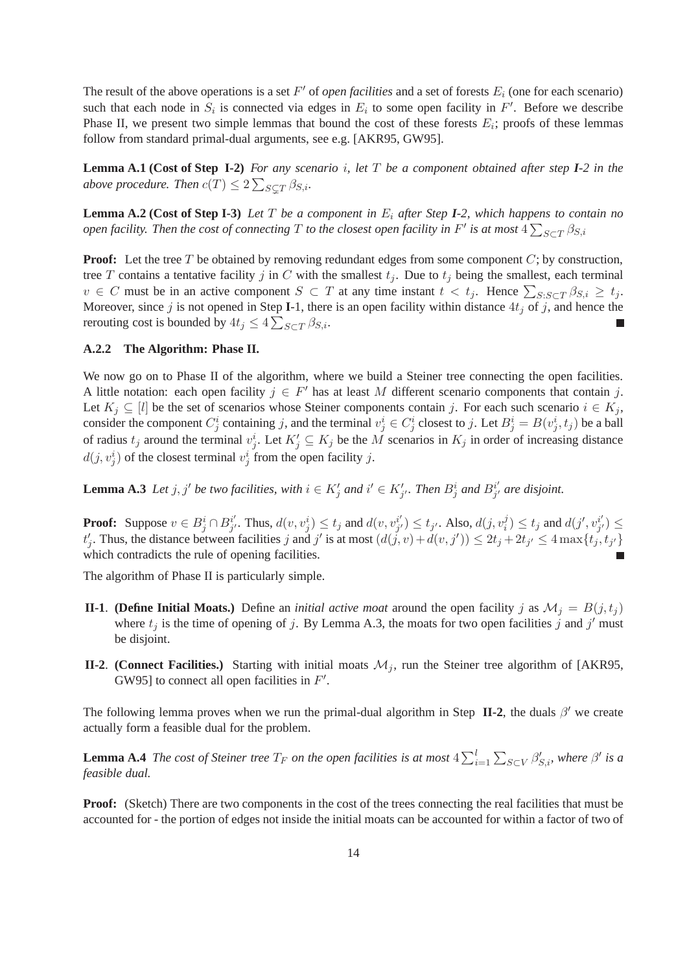The result of the above operations is a set  $F'$  of *open facilities* and a set of forests  $E_i$  (one for each scenario) such that each node in  $S_i$  is connected via edges in  $E_i$  to some open facility in  $F'$ . Before we describe Phase II, we present two simple lemmas that bound the cost of these forests  $E_i$ ; proofs of these lemmas follow from standard primal-dual arguments, see e.g. [AKR95, GW95].

**Lemma A.1 (Cost of Step I-2)** *For any scenario* i*, let* T *be a component obtained after step I-2 in the* above procedure. Then  $c(T) \leq 2 \sum_{S \subsetneq T} \beta_{S,i}$ .

**Lemma A.2 (Cost of Step I-3)** *Let* T *be a component in* E<sup>i</sup> *after Step I-2, which happens to contain no*  $p$  *open facility. Then the cost of connecting*  $T$  *to the closest open facility in*  $F'$  *is at most*  $4\sum_{S\subset T}\beta_{S,i}$ 

**Proof:** Let the tree T be obtained by removing redundant edges from some component C; by construction, tree T contains a tentative facility j in C with the smallest  $t_i$ . Due to  $t_i$  being the smallest, each terminal  $v \in C$  must be in an active component  $S \subset T$  at any time instant  $t < t_j$ . Hence  $\sum_{S: S \subset T} \beta_{S,i} \ge t_j$ . Moreover, since  $j$  is not opened in Step I-1, there is an open facility within distance  $4t_j$  of  $j$ , and hence the rerouting cost is bounded by  $4t_j \leq 4 \sum_{S \subset T} \beta_{S,i}$ .

#### **A.2.2 The Algorithm: Phase II.**

We now go on to Phase II of the algorithm, where we build a Steiner tree connecting the open facilities. A little notation: each open facility  $j \in F'$  has at least M different scenario components that contain j. Let  $K_j \subseteq [l]$  be the set of scenarios whose Steiner components contain j. For each such scenario  $i \in K_j$ , consider the component  $C_j^i$  containing j, and the terminal  $v_j^i \in C_j^i$  closest to j. Let  $B_j^i = B(v_j^i, t_j)$  be a ball of radius  $t_j$  around the terminal  $v_j^i$ . Let  $K'_j \subseteq K_j$  be the M scenarios in  $K_j$  in order of increasing distance  $d(j, v_j^i)$  of the closest terminal  $v_j^i$  from the open facility j.

**Lemma A.3** *Let*  $j, j'$  *be two facilities, with*  $i \in K'_j$  *and*  $i' \in K'_{j'}$ *. Then*  $B_j^i$  *and*  $B_{j'}^{i'}$  $j'_{j'}$  are disjoint.

**Proof:** Suppose  $v \in B_j^i \cap B_{j'}^{i'}$  $j'$ . Thus,  $d(v, v_j^i) \le t_j$  and  $d(v, v_{j'}^{i'})$  $j'_{j'}\rangle \leq t_{j'}$ . Also,  $d(j, v_i^j) \leq t_j$  and  $d(j', v_{j'}^{i'})$  $_{j^{\prime }}^{i^{\prime }})\leq$  $t'_j$ . Thus, the distance between facilities j and j' is at most  $(d(j, v) + d(v, j')) \le 2t_j + 2t_{j'} \le 4 \max\{t_j, t_{j'}\}$ which contradicts the rule of opening facilities.

The algorithm of Phase II is particularly simple.

- **II-1**. **(Define Initial Moats.)** Define an *initial active moat* around the open facility j as  $\mathcal{M}_j = B(j, t_j)$ where  $t_j$  is the time of opening of j. By Lemma A.3, the moats for two open facilities j and j' must be disjoint.
- **II-2**. **(Connect Facilities.)** Starting with initial moats  $M_i$ , run the Steiner tree algorithm of [AKR95, GW95] to connect all open facilities in  $F'$ .

The following lemma proves when we run the primal-dual algorithm in Step  $\mathbf{II-2}$ , the duals  $\beta'$  we create actually form a feasible dual for the problem.

**Lemma A.4** *The cost of Steiner tree*  $T_F$  *on the open facilities is at most*  $4\sum_{i=1}^{l}\sum_{S\subset V}\beta'_{S,i}$ *, where*  $\beta'$  *is a feasible dual.*

**Proof:** (Sketch) There are two components in the cost of the trees connecting the real facilities that must be accounted for - the portion of edges not inside the initial moats can be accounted for within a factor of two of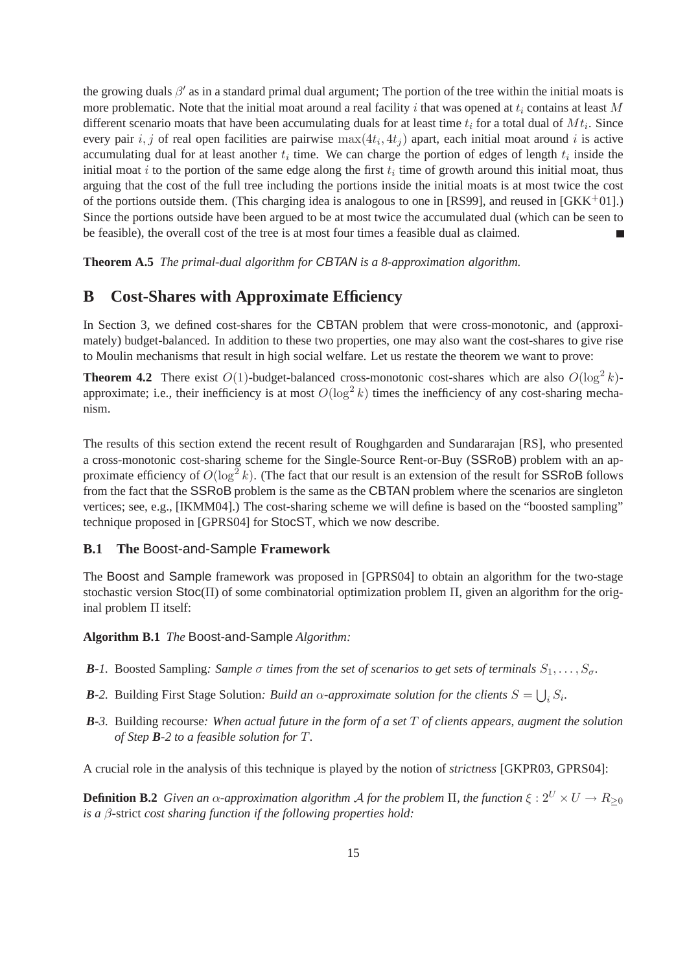the growing duals  $\beta'$  as in a standard primal dual argument; The portion of the tree within the initial moats is more problematic. Note that the initial moat around a real facility i that was opened at  $t_i$  contains at least M different scenario moats that have been accumulating duals for at least time  $t_i$  for a total dual of  $Mt_i$ . Since every pair  $i, j$  of real open facilities are pairwise  $\max(4t_i, 4t_j)$  apart, each initial moat around i is active accumulating dual for at least another  $t_i$  time. We can charge the portion of edges of length  $t_i$  inside the initial moat i to the portion of the same edge along the first  $t_i$  time of growth around this initial moat, thus arguing that the cost of the full tree including the portions inside the initial moats is at most twice the cost of the portions outside them. (This charging idea is analogous to one in [RS99], and reused in  $(GKK^+01)$ .) Since the portions outside have been argued to be at most twice the accumulated dual (which can be seen to be feasible), the overall cost of the tree is at most four times a feasible dual as claimed.

**Theorem A.5** *The primal-dual algorithm for* CBTAN *is a 8-approximation algorithm.*

# **B Cost-Shares with Approximate Efficiency**

In Section 3, we defined cost-shares for the CBTAN problem that were cross-monotonic, and (approximately) budget-balanced. In addition to these two properties, one may also want the cost-shares to give rise to Moulin mechanisms that result in high social welfare. Let us restate the theorem we want to prove:

**Theorem 4.2** There exist  $O(1)$ -budget-balanced cross-monotonic cost-shares which are also  $O(\log^2 k)$ approximate; i.e., their inefficiency is at most  $O(\log^2 k)$  times the inefficiency of any cost-sharing mechanism.

The results of this section extend the recent result of Roughgarden and Sundararajan [RS], who presented a cross-monotonic cost-sharing scheme for the Single-Source Rent-or-Buy (SSRoB) problem with an approximate efficiency of  $O(\log^2 k)$ . (The fact that our result is an extension of the result for SSRoB follows from the fact that the SSRoB problem is the same as the CBTAN problem where the scenarios are singleton vertices; see, e.g., [IKMM04].) The cost-sharing scheme we will define is based on the "boosted sampling" technique proposed in [GPRS04] for StocST, which we now describe.

### **B.1 The** Boost-and-Sample **Framework**

The Boost and Sample framework was proposed in [GPRS04] to obtain an algorithm for the two-stage stochastic version  $Stoc(\Pi)$  of some combinatorial optimization problem  $\Pi$ , given an algorithm for the original problem Π itself:

**Algorithm B.1** *The* Boost-and-Sample *Algorithm:*

- *B*-1. Boosted Sampling: Sample σ times from the set of scenarios to get sets of terminals  $S_1, \ldots, S_\sigma$ .
- *B*-2. Building First Stage Solution: *Build an*  $\alpha$ *-approximate solution for the clients*  $S = \bigcup_i S_i$ .
- *B-3.* Building recourse*: When actual future in the form of a set* T *of clients appears, augment the solution of Step B-2 to a feasible solution for* T*.*

A crucial role in the analysis of this technique is played by the notion of *strictness* [GKPR03, GPRS04]:

**Definition B.2** *Given an*  $\alpha$ *-approximation algorithm A for the problem*  $\Pi$ *, the function*  $\xi : 2^U \times U \rightarrow R_{\geq 0}$ *is a* β-strict *cost sharing function if the following properties hold:*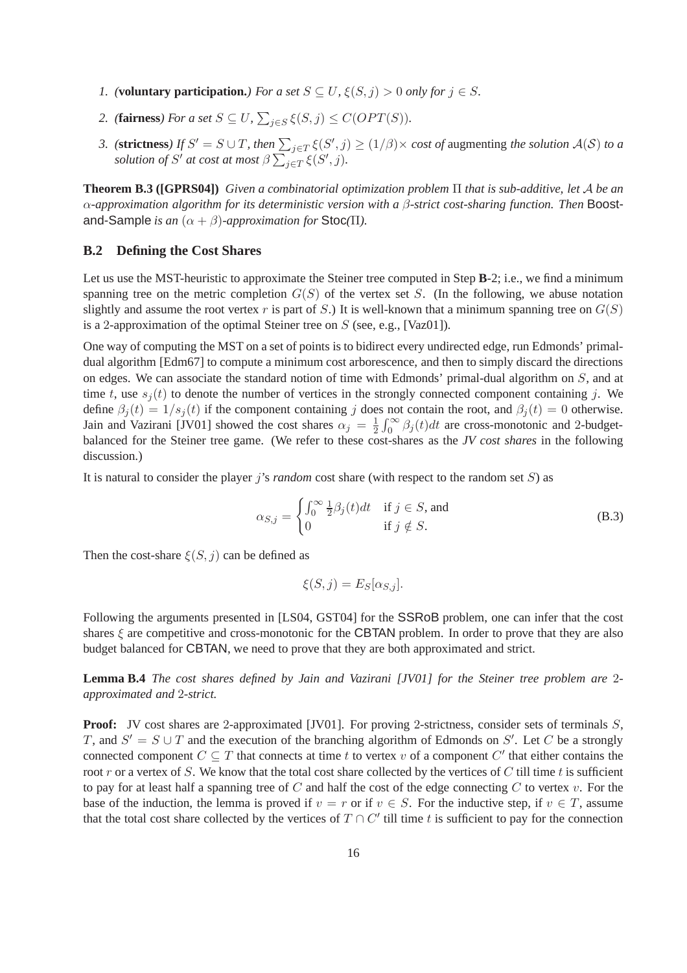- *1.* (**voluntary participation.**) For a set  $S \subseteq U$ ,  $\xi(S, j) > 0$  only for  $j \in S$ .
- 2. (**fairness**) For a set  $S \subseteq U$ ,  $\sum_{j \in S} \xi(S, j) \leq C(OPT(S))$ .
- *3.* (**strictness**) If  $S' = S \cup T$ , then  $\sum_{j \in T} \xi(S', j) \ge (1/\beta) \times \cos t$  of augmenting the solution  $\mathcal{A}(S)$  to a *solution of*  $S'$  *at cost at most*  $\beta \sum_{j \in T} \xi(S', j)$ *.*

**Theorem B.3 ([GPRS04])** *Given a combinatorial optimization problem* Π *that is sub-additive, let* A *be an* α*-approximation algorithm for its deterministic version with a* β*-strict cost-sharing function. Then* Boostand-Sample *is an*  $(\alpha + \beta)$ *-approximation for* Stoc( $\Pi$ ).

### **B.2 Defining the Cost Shares**

Let us use the MST-heuristic to approximate the Steiner tree computed in Step **B**-2; i.e., we find a minimum spanning tree on the metric completion  $G(S)$  of the vertex set S. (In the following, we abuse notation slightly and assume the root vertex r is part of S.) It is well-known that a minimum spanning tree on  $G(S)$ is a 2-approximation of the optimal Steiner tree on  $S$  (see, e.g., [Vaz01]).

One way of computing the MST on a set of points is to bidirect every undirected edge, run Edmonds' primaldual algorithm [Edm67] to compute a minimum cost arborescence, and then to simply discard the directions on edges. We can associate the standard notion of time with Edmonds' primal-dual algorithm on S, and at time t, use  $s_i(t)$  to denote the number of vertices in the strongly connected component containing j. We define  $\beta_i(t) = 1/s_i(t)$  if the component containing j does not contain the root, and  $\beta_i(t) = 0$  otherwise. Jain and Vazirani [JV01] showed the cost shares  $\alpha_j = \frac{1}{2}$  $\frac{1}{2} \int_0^\infty \beta_j(t) dt$  are cross-monotonic and 2-budgetbalanced for the Steiner tree game. (We refer to these cost-shares as the *JV cost shares* in the following discussion.)

It is natural to consider the player j's *random* cost share (with respect to the random set S) as

$$
\alpha_{S,j} = \begin{cases} \int_0^\infty \frac{1}{2} \beta_j(t) dt & \text{if } j \in S \text{, and} \\ 0 & \text{if } j \notin S. \end{cases}
$$
 (B.3)

Then the cost-share  $\xi(S, j)$  can be defined as

$$
\xi(S,j) = E_S[\alpha_{S,j}].
$$

Following the arguments presented in [LS04, GST04] for the SSRoB problem, one can infer that the cost shares  $\xi$  are competitive and cross-monotonic for the CBTAN problem. In order to prove that they are also budget balanced for CBTAN, we need to prove that they are both approximated and strict.

**Lemma B.4** *The cost shares defined by Jain and Vazirani [JV01] for the Steiner tree problem are* 2 *approximated and* 2*-strict.*

**Proof:** JV cost shares are 2-approximated [JV01]. For proving 2-strictness, consider sets of terminals S, T, and  $S' = S \cup T$  and the execution of the branching algorithm of Edmonds on S'. Let C be a strongly connected component  $C \subseteq T$  that connects at time t to vertex v of a component  $C'$  that either contains the root r or a vertex of S. We know that the total cost share collected by the vertices of C till time t is sufficient to pay for at least half a spanning tree of  $C$  and half the cost of the edge connecting  $C$  to vertex  $v$ . For the base of the induction, the lemma is proved if  $v = r$  or if  $v \in S$ . For the inductive step, if  $v \in T$ , assume that the total cost share collected by the vertices of  $T \cap C'$  till time t is sufficient to pay for the connection